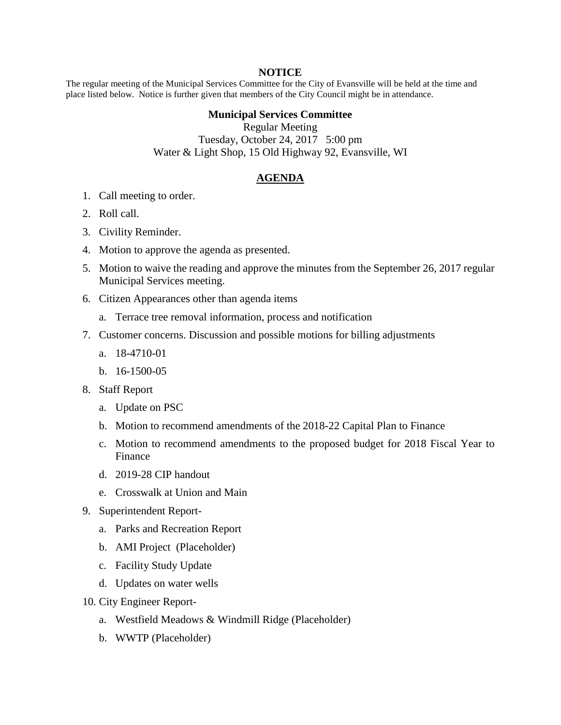## **NOTICE**

The regular meeting of the Municipal Services Committee for the City of Evansville will be held at the time and place listed below. Notice is further given that members of the City Council might be in attendance.

## **Municipal Services Committee**

Regular Meeting Tuesday, October 24, 2017 5:00 pm Water & Light Shop, 15 Old Highway 92, Evansville, WI

## **AGENDA**

- 1. Call meeting to order.
- 2. Roll call.
- 3. Civility Reminder.
- 4. Motion to approve the agenda as presented.
- 5. Motion to waive the reading and approve the minutes from the September 26, 2017 regular Municipal Services meeting.
- 6. Citizen Appearances other than agenda items
	- a. Terrace tree removal information, process and notification
- 7. Customer concerns. Discussion and possible motions for billing adjustments
	- a. 18-4710-01
	- b. 16-1500-05
- 8. Staff Report
	- a. Update on PSC
	- b. Motion to recommend amendments of the 2018-22 Capital Plan to Finance
	- c. Motion to recommend amendments to the proposed budget for 2018 Fiscal Year to Finance
	- d. 2019-28 CIP handout
	- e. Crosswalk at Union and Main
- 9. Superintendent Report
	- a. Parks and Recreation Report
	- b. AMI Project (Placeholder)
	- c. Facility Study Update
	- d. Updates on water wells
- 10. City Engineer Report
	- a. Westfield Meadows & Windmill Ridge (Placeholder)
	- b. WWTP (Placeholder)